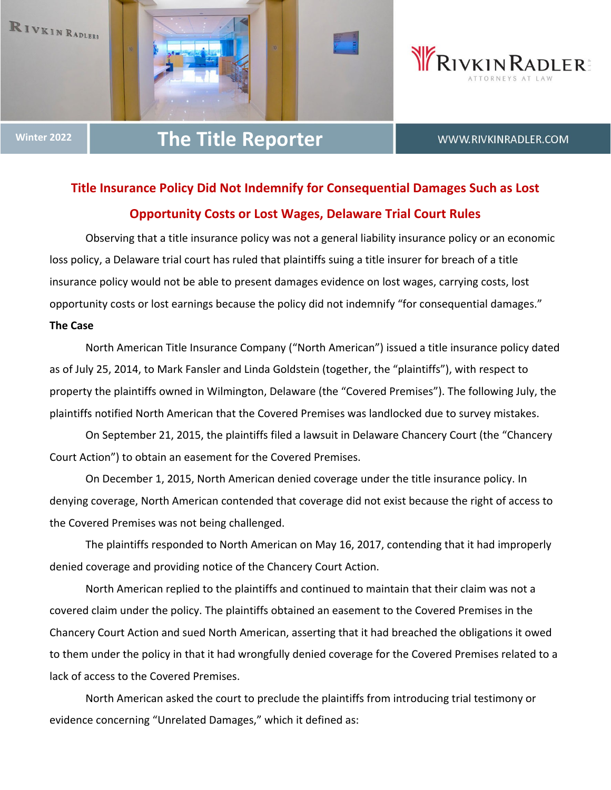





# **Winter <sup>2022</sup> The Title Reporter**

WWW.RIVKINRADLER.COM

# **Title Insurance Policy Did Not Indemnify for Consequential Damages Such as Lost Opportunity Costs or Lost Wages, Delaware Trial Court Rules**

Observing that a title insurance policy was not a general liability insurance policy or an economic loss policy, a Delaware trial court has ruled that plaintiffs suing a title insurer for breach of a title insurance policy would not be able to present damages evidence on lost wages, carrying costs, lost opportunity costs or lost earnings because the policy did not indemnify "for consequential damages." **The Case**

North American Title Insurance Company ("North American") issued a title insurance policy dated as of July 25, 2014, to Mark Fansler and Linda Goldstein (together, the "plaintiffs"), with respect to property the plaintiffs owned in Wilmington, Delaware (the "Covered Premises"). The following July, the plaintiffs notified North American that the Covered Premises was landlocked due to survey mistakes.

On September 21, 2015, the plaintiffs filed a lawsuit in Delaware Chancery Court (the "Chancery Court Action") to obtain an easement for the Covered Premises.

On December 1, 2015, North American denied coverage under the title insurance policy. In denying coverage, North American contended that coverage did not exist because the right of access to the Covered Premises was not being challenged.

The plaintiffs responded to North American on May 16, 2017, contending that it had improperly denied coverage and providing notice of the Chancery Court Action.

North American replied to the plaintiffs and continued to maintain that their claim was not a covered claim under the policy. The plaintiffs obtained an easement to the Covered Premises in the Chancery Court Action and sued North American, asserting that it had breached the obligations it owed to them under the policy in that it had wrongfully denied coverage for the Covered Premises related to a lack of access to the Covered Premises.

North American asked the court to preclude the plaintiffs from introducing trial testimony or evidence concerning "Unrelated Damages," which it defined as: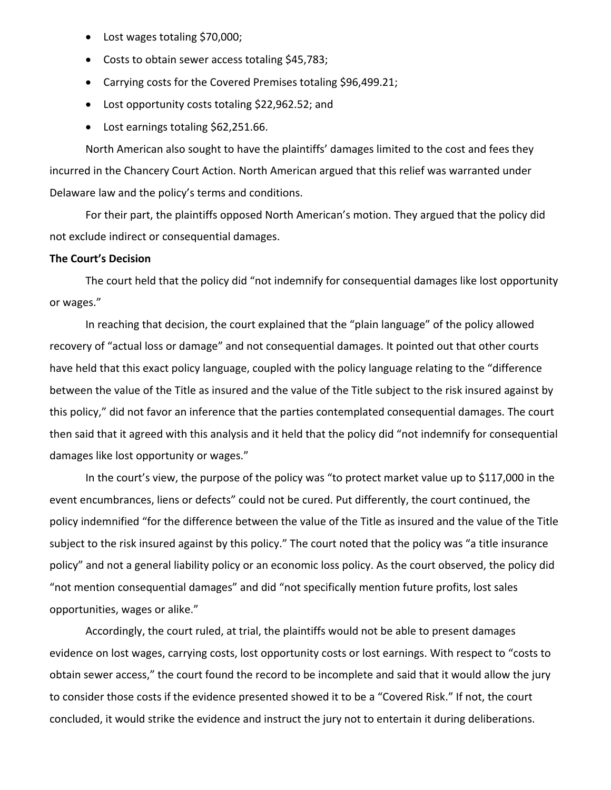- Lost wages totaling \$70,000;
- Costs to obtain sewer access totaling \$45,783;
- Carrying costs for the Covered Premises totaling \$96,499.21;
- Lost opportunity costs totaling \$22,962.52; and
- Lost earnings totaling \$62,251.66.

North American also sought to have the plaintiffs' damages limited to the cost and fees they incurred in the Chancery Court Action. North American argued that this relief was warranted under Delaware law and the policy's terms and conditions.

For their part, the plaintiffs opposed North American's motion. They argued that the policy did not exclude indirect or consequential damages.

### **The Court's Decision**

The court held that the policy did "not indemnify for consequential damages like lost opportunity or wages."

In reaching that decision, the court explained that the "plain language" of the policy allowed recovery of "actual loss or damage" and not consequential damages. It pointed out that other courts have held that this exact policy language, coupled with the policy language relating to the "difference between the value of the Title as insured and the value of the Title subject to the risk insured against by this policy," did not favor an inference that the parties contemplated consequential damages. The court then said that it agreed with this analysis and it held that the policy did "not indemnify for consequential damages like lost opportunity or wages."

In the court's view, the purpose of the policy was "to protect market value up to \$117,000 in the event encumbrances, liens or defects" could not be cured. Put differently, the court continued, the policy indemnified "for the difference between the value of the Title as insured and the value of the Title subject to the risk insured against by this policy." The court noted that the policy was "a title insurance policy" and not a general liability policy or an economic loss policy. As the court observed, the policy did "not mention consequential damages" and did "not specifically mention future profits, lost sales opportunities, wages or alike."

Accordingly, the court ruled, at trial, the plaintiffs would not be able to present damages evidence on lost wages, carrying costs, lost opportunity costs or lost earnings. With respect to "costs to obtain sewer access," the court found the record to be incomplete and said that it would allow the jury to consider those costs if the evidence presented showed it to be a "Covered Risk." If not, the court concluded, it would strike the evidence and instruct the jury not to entertain it during deliberations.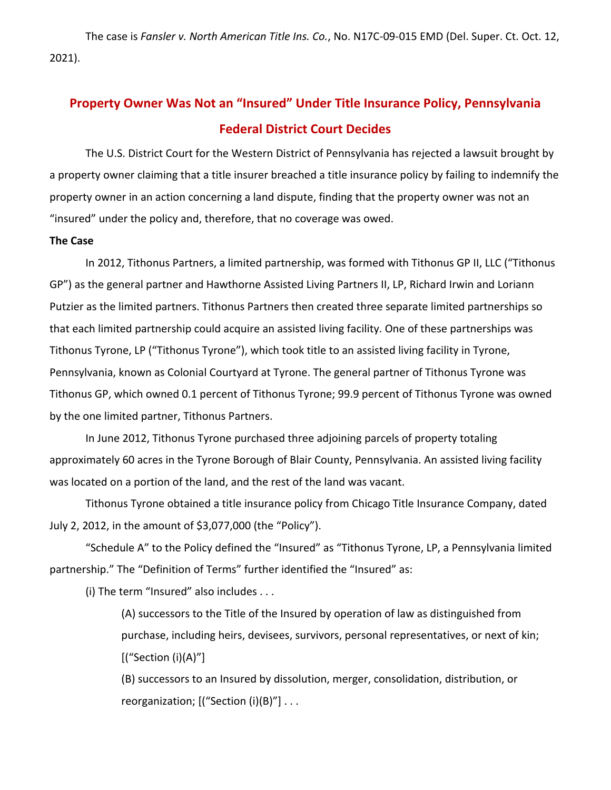The case is *Fansler v. North American Title Ins. Co.*, No. N17C‐09‐015 EMD (Del. Super. Ct. Oct. 12, 2021).

# **Property Owner Was Not an "Insured" Under Title Insurance Policy, Pennsylvania Federal District Court Decides**

The U.S. District Court for the Western District of Pennsylvania has rejected a lawsuit brought by a property owner claiming that a title insurer breached a title insurance policy by failing to indemnify the property owner in an action concerning a land dispute, finding that the property owner was not an "insured" under the policy and, therefore, that no coverage was owed.

### **The Case**

In 2012, Tithonus Partners, a limited partnership, was formed with Tithonus GP II, LLC ("Tithonus GP") as the general partner and Hawthorne Assisted Living Partners II, LP, Richard Irwin and Loriann Putzier as the limited partners. Tithonus Partners then created three separate limited partnerships so that each limited partnership could acquire an assisted living facility. One of these partnerships was Tithonus Tyrone, LP ("Tithonus Tyrone"), which took title to an assisted living facility in Tyrone, Pennsylvania, known as Colonial Courtyard at Tyrone. The general partner of Tithonus Tyrone was Tithonus GP, which owned 0.1 percent of Tithonus Tyrone; 99.9 percent of Tithonus Tyrone was owned by the one limited partner, Tithonus Partners.

In June 2012, Tithonus Tyrone purchased three adjoining parcels of property totaling approximately 60 acres in the Tyrone Borough of Blair County, Pennsylvania. An assisted living facility was located on a portion of the land, and the rest of the land was vacant.

Tithonus Tyrone obtained a title insurance policy from Chicago Title Insurance Company, dated July 2, 2012, in the amount of \$3,077,000 (the "Policy").

"Schedule A" to the Policy defined the "Insured" as "Tithonus Tyrone, LP, a Pennsylvania limited partnership." The "Definition of Terms" further identified the "Insured" as:

(i) The term "Insured" also includes . . .

(A) successors to the Title of the Insured by operation of law as distinguished from purchase, including heirs, devisees, survivors, personal representatives, or next of kin; [("Section (i)(A)"]

(B) successors to an Insured by dissolution, merger, consolidation, distribution, or reorganization;  $[($ "Section  $(i)(B)$ " $]$  ...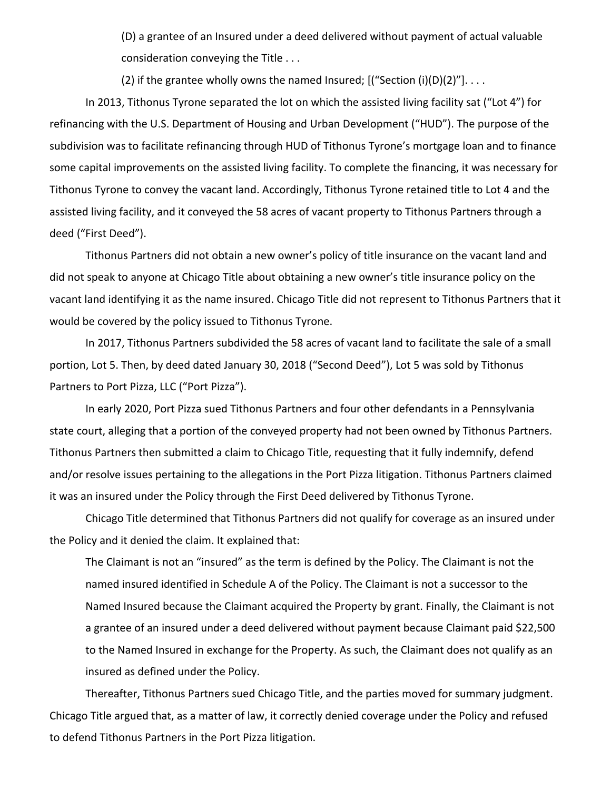(D) a grantee of an Insured under a deed delivered without payment of actual valuable consideration conveying the Title . . .

(2) if the grantee wholly owns the named Insured;  $[($ "Section  $(i)(D)(2)$ " $]$ ...

In 2013, Tithonus Tyrone separated the lot on which the assisted living facility sat ("Lot 4") for refinancing with the U.S. Department of Housing and Urban Development ("HUD"). The purpose of the subdivision was to facilitate refinancing through HUD of Tithonus Tyrone's mortgage loan and to finance some capital improvements on the assisted living facility. To complete the financing, it was necessary for Tithonus Tyrone to convey the vacant land. Accordingly, Tithonus Tyrone retained title to Lot 4 and the assisted living facility, and it conveyed the 58 acres of vacant property to Tithonus Partners through a deed ("First Deed").

Tithonus Partners did not obtain a new owner's policy of title insurance on the vacant land and did not speak to anyone at Chicago Title about obtaining a new owner's title insurance policy on the vacant land identifying it as the name insured. Chicago Title did not represent to Tithonus Partners that it would be covered by the policy issued to Tithonus Tyrone.

In 2017, Tithonus Partners subdivided the 58 acres of vacant land to facilitate the sale of a small portion, Lot 5. Then, by deed dated January 30, 2018 ("Second Deed"), Lot 5 was sold by Tithonus Partners to Port Pizza, LLC ("Port Pizza").

In early 2020, Port Pizza sued Tithonus Partners and four other defendants in a Pennsylvania state court, alleging that a portion of the conveyed property had not been owned by Tithonus Partners. Tithonus Partners then submitted a claim to Chicago Title, requesting that it fully indemnify, defend and/or resolve issues pertaining to the allegations in the Port Pizza litigation. Tithonus Partners claimed it was an insured under the Policy through the First Deed delivered by Tithonus Tyrone.

Chicago Title determined that Tithonus Partners did not qualify for coverage as an insured under the Policy and it denied the claim. It explained that:

The Claimant is not an "insured" as the term is defined by the Policy. The Claimant is not the named insured identified in Schedule A of the Policy. The Claimant is not a successor to the Named Insured because the Claimant acquired the Property by grant. Finally, the Claimant is not a grantee of an insured under a deed delivered without payment because Claimant paid \$22,500 to the Named Insured in exchange for the Property. As such, the Claimant does not qualify as an insured as defined under the Policy.

Thereafter, Tithonus Partners sued Chicago Title, and the parties moved for summary judgment. Chicago Title argued that, as a matter of law, it correctly denied coverage under the Policy and refused to defend Tithonus Partners in the Port Pizza litigation.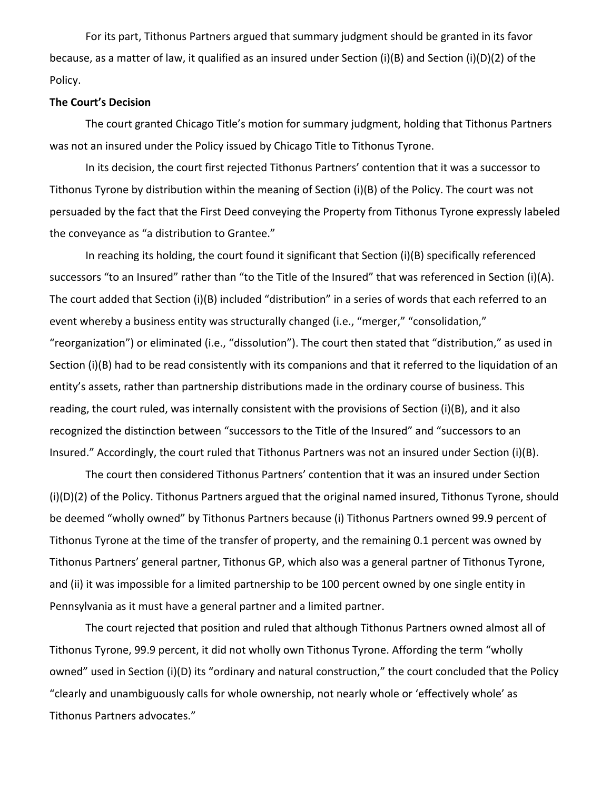For its part, Tithonus Partners argued that summary judgment should be granted in its favor because, as a matter of law, it qualified as an insured under Section (i)(B) and Section (i)(D)(2) of the Policy.

#### **The Court's Decision**

The court granted Chicago Title's motion for summary judgment, holding that Tithonus Partners was not an insured under the Policy issued by Chicago Title to Tithonus Tyrone.

In its decision, the court first rejected Tithonus Partners' contention that it was a successor to Tithonus Tyrone by distribution within the meaning of Section (i)(B) of the Policy. The court was not persuaded by the fact that the First Deed conveying the Property from Tithonus Tyrone expressly labeled the conveyance as "a distribution to Grantee."

In reaching its holding, the court found it significant that Section (i)(B) specifically referenced successors "to an Insured" rather than "to the Title of the Insured" that was referenced in Section (i)(A). The court added that Section (i)(B) included "distribution" in a series of words that each referred to an event whereby a business entity was structurally changed (i.e., "merger," "consolidation," "reorganization") or eliminated (i.e., "dissolution"). The court then stated that "distribution," as used in Section (i)(B) had to be read consistently with its companions and that it referred to the liquidation of an entity's assets, rather than partnership distributions made in the ordinary course of business. This reading, the court ruled, was internally consistent with the provisions of Section (i)(B), and it also recognized the distinction between "successors to the Title of the Insured" and "successors to an Insured." Accordingly, the court ruled that Tithonus Partners was not an insured under Section (i)(B).

The court then considered Tithonus Partners' contention that it was an insured under Section (i)(D)(2) of the Policy. Tithonus Partners argued that the original named insured, Tithonus Tyrone, should be deemed "wholly owned" by Tithonus Partners because (i) Tithonus Partners owned 99.9 percent of Tithonus Tyrone at the time of the transfer of property, and the remaining 0.1 percent was owned by Tithonus Partners' general partner, Tithonus GP, which also was a general partner of Tithonus Tyrone, and (ii) it was impossible for a limited partnership to be 100 percent owned by one single entity in Pennsylvania as it must have a general partner and a limited partner.

The court rejected that position and ruled that although Tithonus Partners owned almost all of Tithonus Tyrone, 99.9 percent, it did not wholly own Tithonus Tyrone. Affording the term "wholly owned" used in Section (i)(D) its "ordinary and natural construction," the court concluded that the Policy "clearly and unambiguously calls for whole ownership, not nearly whole or 'effectively whole' as Tithonus Partners advocates."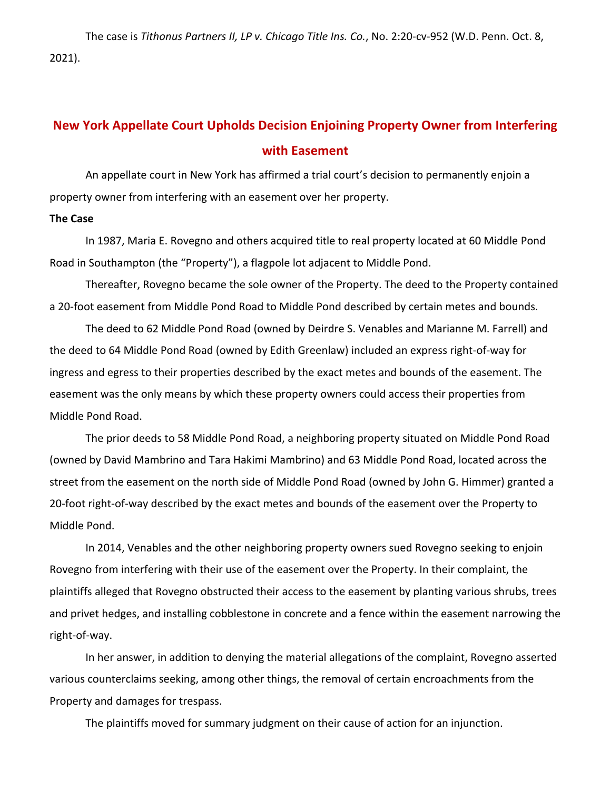The case is *Tithonus Partners II, LP v. Chicago Title Ins. Co.*, No. 2:20‐cv‐952 (W.D. Penn. Oct. 8, 2021).

# **New York Appellate Court Upholds Decision Enjoining Property Owner from Interfering with Easement**

An appellate court in New York has affirmed a trial court's decision to permanently enjoin a property owner from interfering with an easement over her property.

### **The Case**

In 1987, Maria E. Rovegno and others acquired title to real property located at 60 Middle Pond Road in Southampton (the "Property"), a flagpole lot adjacent to Middle Pond.

Thereafter, Rovegno became the sole owner of the Property. The deed to the Property contained a 20-foot easement from Middle Pond Road to Middle Pond described by certain metes and bounds.

The deed to 62 Middle Pond Road (owned by Deirdre S. Venables and Marianne M. Farrell) and the deed to 64 Middle Pond Road (owned by Edith Greenlaw) included an express right‐of‐way for ingress and egress to their properties described by the exact metes and bounds of the easement. The easement was the only means by which these property owners could access their properties from Middle Pond Road.

The prior deeds to 58 Middle Pond Road, a neighboring property situated on Middle Pond Road (owned by David Mambrino and Tara Hakimi Mambrino) and 63 Middle Pond Road, located across the street from the easement on the north side of Middle Pond Road (owned by John G. Himmer) granted a 20-foot right-of-way described by the exact metes and bounds of the easement over the Property to Middle Pond.

In 2014, Venables and the other neighboring property owners sued Rovegno seeking to enjoin Rovegno from interfering with their use of the easement over the Property. In their complaint, the plaintiffs alleged that Rovegno obstructed their access to the easement by planting various shrubs, trees and privet hedges, and installing cobblestone in concrete and a fence within the easement narrowing the right‐of‐way.

In her answer, in addition to denying the material allegations of the complaint, Rovegno asserted various counterclaims seeking, among other things, the removal of certain encroachments from the Property and damages for trespass.

The plaintiffs moved for summary judgment on their cause of action for an injunction.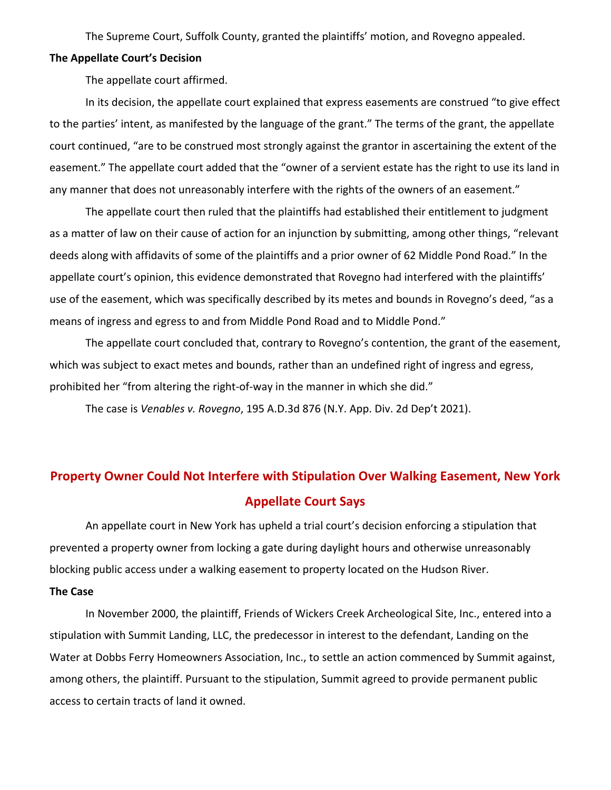The Supreme Court, Suffolk County, granted the plaintiffs' motion, and Rovegno appealed.

#### **The Appellate Court's Decision**

The appellate court affirmed.

In its decision, the appellate court explained that express easements are construed "to give effect to the parties' intent, as manifested by the language of the grant." The terms of the grant, the appellate court continued, "are to be construed most strongly against the grantor in ascertaining the extent of the easement." The appellate court added that the "owner of a servient estate has the right to use its land in any manner that does not unreasonably interfere with the rights of the owners of an easement."

The appellate court then ruled that the plaintiffs had established their entitlement to judgment as a matter of law on their cause of action for an injunction by submitting, among other things, "relevant deeds along with affidavits of some of the plaintiffs and a prior owner of 62 Middle Pond Road." In the appellate court's opinion, this evidence demonstrated that Rovegno had interfered with the plaintiffs' use of the easement, which was specifically described by its metes and bounds in Rovegno's deed, "as a means of ingress and egress to and from Middle Pond Road and to Middle Pond."

The appellate court concluded that, contrary to Rovegno's contention, the grant of the easement, which was subject to exact metes and bounds, rather than an undefined right of ingress and egress, prohibited her "from altering the right-of-way in the manner in which she did."

The case is *Venables v. Rovegno*, 195 A.D.3d 876 (N.Y. App. Div. 2d Dep't 2021).

# **Property Owner Could Not Interfere with Stipulation Over Walking Easement, New York Appellate Court Says**

An appellate court in New York has upheld a trial court's decision enforcing a stipulation that prevented a property owner from locking a gate during daylight hours and otherwise unreasonably blocking public access under a walking easement to property located on the Hudson River.

## **The Case**

In November 2000, the plaintiff, Friends of Wickers Creek Archeological Site, Inc., entered into a stipulation with Summit Landing, LLC, the predecessor in interest to the defendant, Landing on the Water at Dobbs Ferry Homeowners Association, Inc., to settle an action commenced by Summit against, among others, the plaintiff. Pursuant to the stipulation, Summit agreed to provide permanent public access to certain tracts of land it owned.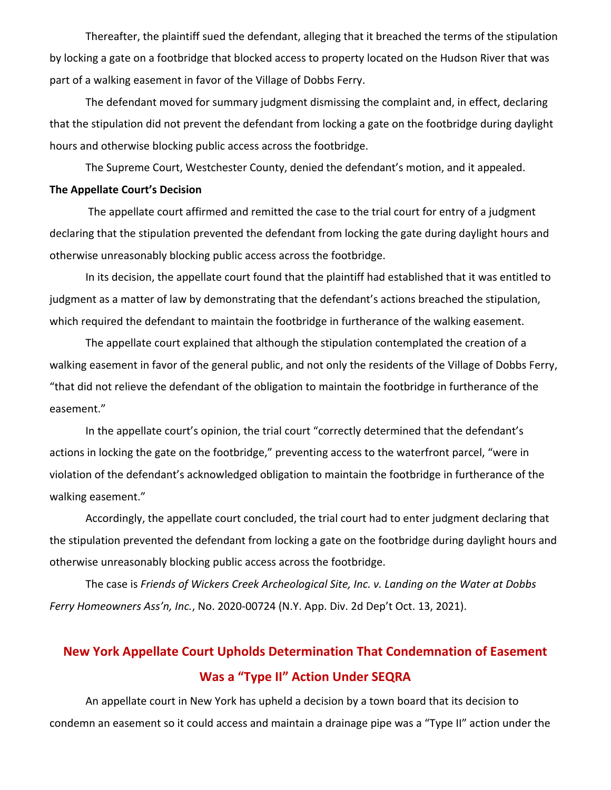Thereafter, the plaintiff sued the defendant, alleging that it breached the terms of the stipulation by locking a gate on a footbridge that blocked access to property located on the Hudson River that was part of a walking easement in favor of the Village of Dobbs Ferry.

The defendant moved for summary judgment dismissing the complaint and, in effect, declaring that the stipulation did not prevent the defendant from locking a gate on the footbridge during daylight hours and otherwise blocking public access across the footbridge.

The Supreme Court, Westchester County, denied the defendant's motion, and it appealed.

### **The Appellate Court's Decision**

The appellate court affirmed and remitted the case to the trial court for entry of a judgment declaring that the stipulation prevented the defendant from locking the gate during daylight hours and otherwise unreasonably blocking public access across the footbridge.

In its decision, the appellate court found that the plaintiff had established that it was entitled to judgment as a matter of law by demonstrating that the defendant's actions breached the stipulation, which required the defendant to maintain the footbridge in furtherance of the walking easement.

The appellate court explained that although the stipulation contemplated the creation of a walking easement in favor of the general public, and not only the residents of the Village of Dobbs Ferry, "that did not relieve the defendant of the obligation to maintain the footbridge in furtherance of the easement."

In the appellate court's opinion, the trial court "correctly determined that the defendant's actions in locking the gate on the footbridge," preventing access to the waterfront parcel, "were in violation of the defendant's acknowledged obligation to maintain the footbridge in furtherance of the walking easement."

Accordingly, the appellate court concluded, the trial court had to enter judgment declaring that the stipulation prevented the defendant from locking a gate on the footbridge during daylight hours and otherwise unreasonably blocking public access across the footbridge.

The case is *Friends of Wickers Creek Archeological Site, Inc. v. Landing on the Water at Dobbs Ferry Homeowners Ass'n, Inc.*, No. 2020‐00724 (N.Y. App. Div. 2d Dep't Oct. 13, 2021).

# **New York Appellate Court Upholds Determination That Condemnation of Easement Was a "Type II" Action Under SEQRA**

An appellate court in New York has upheld a decision by a town board that its decision to condemn an easement so it could access and maintain a drainage pipe was a "Type II" action under the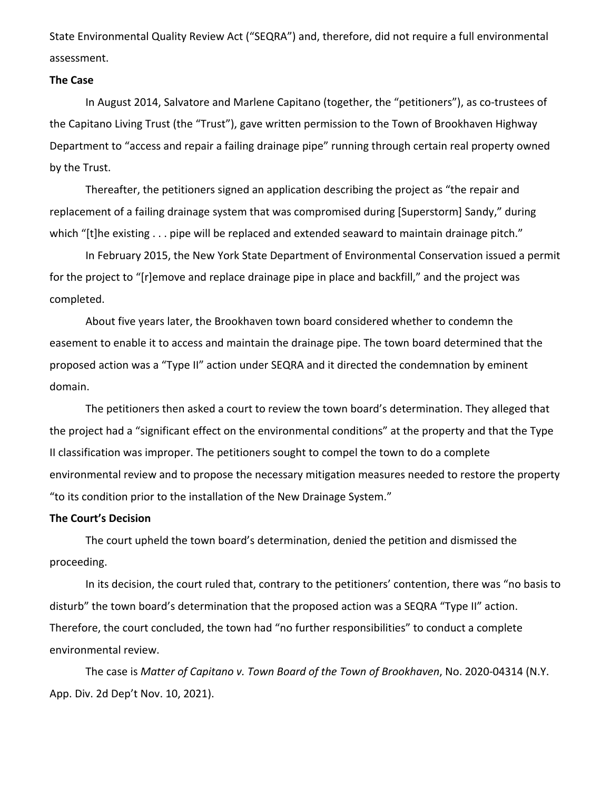State Environmental Quality Review Act ("SEQRA") and, therefore, did not require a full environmental assessment.

#### **The Case**

In August 2014, Salvatore and Marlene Capitano (together, the "petitioners"), as co‐trustees of the Capitano Living Trust (the "Trust"), gave written permission to the Town of Brookhaven Highway Department to "access and repair a failing drainage pipe" running through certain real property owned by the Trust.

Thereafter, the petitioners signed an application describing the project as "the repair and replacement of a failing drainage system that was compromised during [Superstorm] Sandy," during which "[t]he existing . . . pipe will be replaced and extended seaward to maintain drainage pitch."

In February 2015, the New York State Department of Environmental Conservation issued a permit for the project to "[r]emove and replace drainage pipe in place and backfill," and the project was completed.

About five years later, the Brookhaven town board considered whether to condemn the easement to enable it to access and maintain the drainage pipe. The town board determined that the proposed action was a "Type II" action under SEQRA and it directed the condemnation by eminent domain.

The petitioners then asked a court to review the town board's determination. They alleged that the project had a "significant effect on the environmental conditions" at the property and that the Type II classification was improper. The petitioners sought to compel the town to do a complete environmental review and to propose the necessary mitigation measures needed to restore the property "to its condition prior to the installation of the New Drainage System."

#### **The Court's Decision**

The court upheld the town board's determination, denied the petition and dismissed the proceeding.

In its decision, the court ruled that, contrary to the petitioners' contention, there was "no basis to disturb" the town board's determination that the proposed action was a SEQRA "Type II" action. Therefore, the court concluded, the town had "no further responsibilities" to conduct a complete environmental review.

The case is *Matter of Capitano v. Town Board of the Town of Brookhaven*, No. 2020‐04314 (N.Y. App. Div. 2d Dep't Nov. 10, 2021).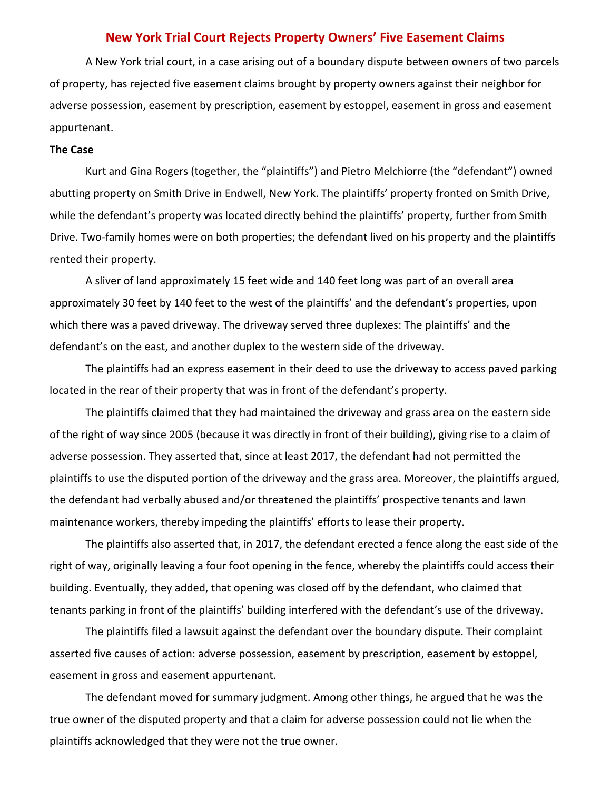### **New York Trial Court Rejects Property Owners' Five Easement Claims**

A New York trial court, in a case arising out of a boundary dispute between owners of two parcels of property, has rejected five easement claims brought by property owners against their neighbor for adverse possession, easement by prescription, easement by estoppel, easement in gross and easement appurtenant.

### **The Case**

Kurt and Gina Rogers (together, the "plaintiffs") and Pietro Melchiorre (the "defendant") owned abutting property on Smith Drive in Endwell, New York. The plaintiffs' property fronted on Smith Drive, while the defendant's property was located directly behind the plaintiffs' property, further from Smith Drive. Two-family homes were on both properties; the defendant lived on his property and the plaintiffs rented their property.

A sliver of land approximately 15 feet wide and 140 feet long was part of an overall area approximately 30 feet by 140 feet to the west of the plaintiffs' and the defendant's properties, upon which there was a paved driveway. The driveway served three duplexes: The plaintiffs' and the defendant's on the east, and another duplex to the western side of the driveway.

The plaintiffs had an express easement in their deed to use the driveway to access paved parking located in the rear of their property that was in front of the defendant's property.

The plaintiffs claimed that they had maintained the driveway and grass area on the eastern side of the right of way since 2005 (because it was directly in front of their building), giving rise to a claim of adverse possession. They asserted that, since at least 2017, the defendant had not permitted the plaintiffs to use the disputed portion of the driveway and the grass area. Moreover, the plaintiffs argued, the defendant had verbally abused and/or threatened the plaintiffs' prospective tenants and lawn maintenance workers, thereby impeding the plaintiffs' efforts to lease their property.

The plaintiffs also asserted that, in 2017, the defendant erected a fence along the east side of the right of way, originally leaving a four foot opening in the fence, whereby the plaintiffs could access their building. Eventually, they added, that opening was closed off by the defendant, who claimed that tenants parking in front of the plaintiffs' building interfered with the defendant's use of the driveway.

The plaintiffs filed a lawsuit against the defendant over the boundary dispute. Their complaint asserted five causes of action: adverse possession, easement by prescription, easement by estoppel, easement in gross and easement appurtenant.

The defendant moved for summary judgment. Among other things, he argued that he was the true owner of the disputed property and that a claim for adverse possession could not lie when the plaintiffs acknowledged that they were not the true owner.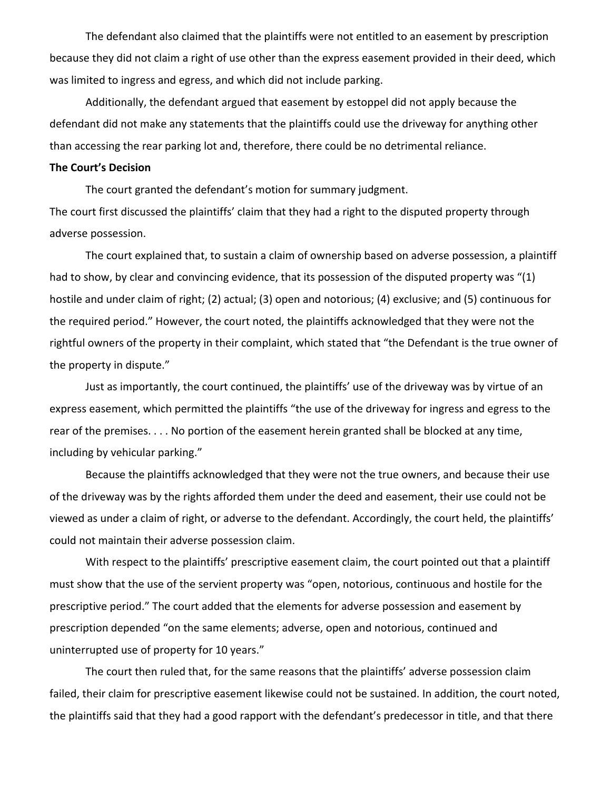The defendant also claimed that the plaintiffs were not entitled to an easement by prescription because they did not claim a right of use other than the express easement provided in their deed, which was limited to ingress and egress, and which did not include parking.

Additionally, the defendant argued that easement by estoppel did not apply because the defendant did not make any statements that the plaintiffs could use the driveway for anything other than accessing the rear parking lot and, therefore, there could be no detrimental reliance.

#### **The Court's Decision**

The court granted the defendant's motion for summary judgment. The court first discussed the plaintiffs' claim that they had a right to the disputed property through adverse possession.

The court explained that, to sustain a claim of ownership based on adverse possession, a plaintiff had to show, by clear and convincing evidence, that its possession of the disputed property was "(1) hostile and under claim of right; (2) actual; (3) open and notorious; (4) exclusive; and (5) continuous for the required period." However, the court noted, the plaintiffs acknowledged that they were not the rightful owners of the property in their complaint, which stated that "the Defendant is the true owner of the property in dispute."

Just as importantly, the court continued, the plaintiffs' use of the driveway was by virtue of an express easement, which permitted the plaintiffs "the use of the driveway for ingress and egress to the rear of the premises. . . . No portion of the easement herein granted shall be blocked at any time, including by vehicular parking."

Because the plaintiffs acknowledged that they were not the true owners, and because their use of the driveway was by the rights afforded them under the deed and easement, their use could not be viewed as under a claim of right, or adverse to the defendant. Accordingly, the court held, the plaintiffs' could not maintain their adverse possession claim.

With respect to the plaintiffs' prescriptive easement claim, the court pointed out that a plaintiff must show that the use of the servient property was "open, notorious, continuous and hostile for the prescriptive period." The court added that the elements for adverse possession and easement by prescription depended "on the same elements; adverse, open and notorious, continued and uninterrupted use of property for 10 years."

The court then ruled that, for the same reasons that the plaintiffs' adverse possession claim failed, their claim for prescriptive easement likewise could not be sustained. In addition, the court noted, the plaintiffs said that they had a good rapport with the defendant's predecessor in title, and that there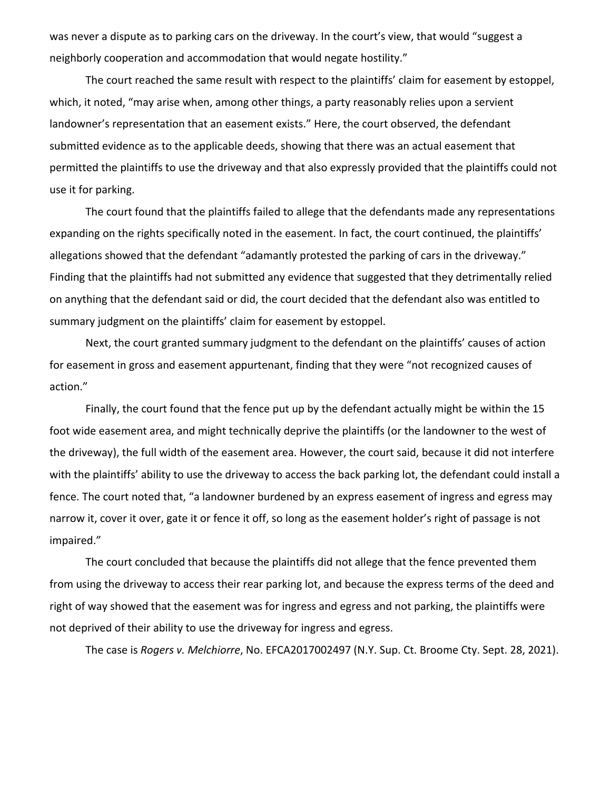was never a dispute as to parking cars on the driveway. In the court's view, that would "suggest a neighborly cooperation and accommodation that would negate hostility."

The court reached the same result with respect to the plaintiffs' claim for easement by estoppel, which, it noted, "may arise when, among other things, a party reasonably relies upon a servient landowner's representation that an easement exists." Here, the court observed, the defendant submitted evidence as to the applicable deeds, showing that there was an actual easement that permitted the plaintiffs to use the driveway and that also expressly provided that the plaintiffs could not use it for parking.

The court found that the plaintiffs failed to allege that the defendants made any representations expanding on the rights specifically noted in the easement. In fact, the court continued, the plaintiffs' allegations showed that the defendant "adamantly protested the parking of cars in the driveway." Finding that the plaintiffs had not submitted any evidence that suggested that they detrimentally relied on anything that the defendant said or did, the court decided that the defendant also was entitled to summary judgment on the plaintiffs' claim for easement by estoppel.

Next, the court granted summary judgment to the defendant on the plaintiffs' causes of action for easement in gross and easement appurtenant, finding that they were "not recognized causes of action."

Finally, the court found that the fence put up by the defendant actually might be within the 15 foot wide easement area, and might technically deprive the plaintiffs (or the landowner to the west of the driveway), the full width of the easement area. However, the court said, because it did not interfere with the plaintiffs' ability to use the driveway to access the back parking lot, the defendant could install a fence. The court noted that, "a landowner burdened by an express easement of ingress and egress may narrow it, cover it over, gate it or fence it off, so long as the easement holder's right of passage is not impaired."

The court concluded that because the plaintiffs did not allege that the fence prevented them from using the driveway to access their rear parking lot, and because the express terms of the deed and right of way showed that the easement was for ingress and egress and not parking, the plaintiffs were not deprived of their ability to use the driveway for ingress and egress.

The case is *Rogers v. Melchiorre*, No. EFCA2017002497 (N.Y. Sup. Ct. Broome Cty. Sept. 28, 2021).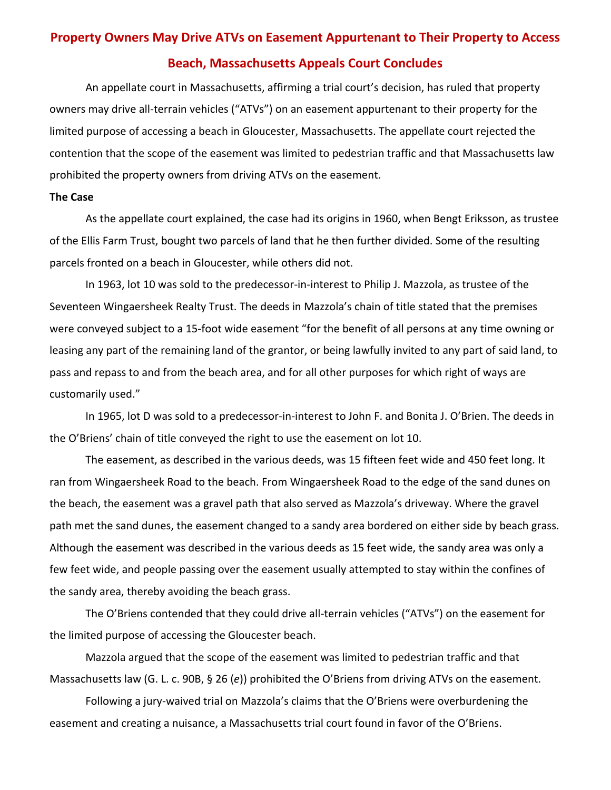# **Property Owners May Drive ATVs on Easement Appurtenant to Their Property to Access Beach, Massachusetts Appeals Court Concludes**

An appellate court in Massachusetts, affirming a trial court's decision, has ruled that property owners may drive all‐terrain vehicles ("ATVs") on an easement appurtenant to their property for the limited purpose of accessing a beach in Gloucester, Massachusetts. The appellate court rejected the contention that the scope of the easement was limited to pedestrian traffic and that Massachusetts law prohibited the property owners from driving ATVs on the easement.

### **The Case**

As the appellate court explained, the case had its origins in 1960, when Bengt Eriksson, as trustee of the Ellis Farm Trust, bought two parcels of land that he then further divided. Some of the resulting parcels fronted on a beach in Gloucester, while others did not.

In 1963, lot 10 was sold to the predecessor-in-interest to Philip J. Mazzola, as trustee of the Seventeen Wingaersheek Realty Trust. The deeds in Mazzola's chain of title stated that the premises were conveyed subject to a 15‐foot wide easement "for the benefit of all persons at any time owning or leasing any part of the remaining land of the grantor, or being lawfully invited to any part of said land, to pass and repass to and from the beach area, and for all other purposes for which right of ways are customarily used."

In 1965, lot D was sold to a predecessor-in-interest to John F. and Bonita J. O'Brien. The deeds in the O'Briens' chain of title conveyed the right to use the easement on lot 10.

The easement, as described in the various deeds, was 15 fifteen feet wide and 450 feet long. It ran from Wingaersheek Road to the beach. From Wingaersheek Road to the edge of the sand dunes on the beach, the easement was a gravel path that also served as Mazzola's driveway. Where the gravel path met the sand dunes, the easement changed to a sandy area bordered on either side by beach grass. Although the easement was described in the various deeds as 15 feet wide, the sandy area was only a few feet wide, and people passing over the easement usually attempted to stay within the confines of the sandy area, thereby avoiding the beach grass.

The O'Briens contended that they could drive all-terrain vehicles ("ATVs") on the easement for the limited purpose of accessing the Gloucester beach.

Mazzola argued that the scope of the easement was limited to pedestrian traffic and that Massachusetts law (G. L. c. 90B, § 26 (*e*)) prohibited the O'Briens from driving ATVs on the easement.

Following a jury‐waived trial on Mazzola's claims that the O'Briens were overburdening the easement and creating a nuisance, a Massachusetts trial court found in favor of the O'Briens.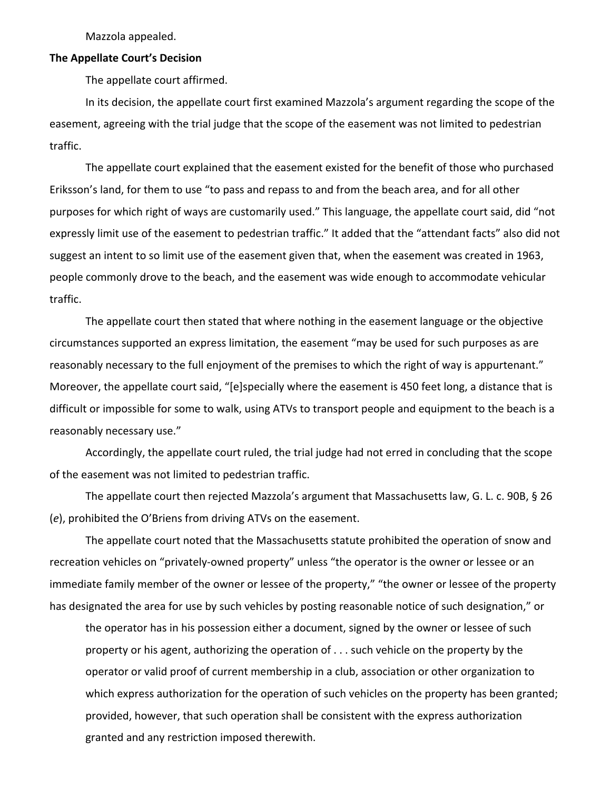Mazzola appealed.

#### **The Appellate Court's Decision**

The appellate court affirmed.

In its decision, the appellate court first examined Mazzola's argument regarding the scope of the easement, agreeing with the trial judge that the scope of the easement was not limited to pedestrian traffic.

The appellate court explained that the easement existed for the benefit of those who purchased Eriksson's land, for them to use "to pass and repass to and from the beach area, and for all other purposes for which right of ways are customarily used." This language, the appellate court said, did "not expressly limit use of the easement to pedestrian traffic." It added that the "attendant facts" also did not suggest an intent to so limit use of the easement given that, when the easement was created in 1963, people commonly drove to the beach, and the easement was wide enough to accommodate vehicular traffic.

The appellate court then stated that where nothing in the easement language or the objective circumstances supported an express limitation, the easement "may be used for such purposes as are reasonably necessary to the full enjoyment of the premises to which the right of way is appurtenant." Moreover, the appellate court said, "[e]specially where the easement is 450 feet long, a distance that is difficult or impossible for some to walk, using ATVs to transport people and equipment to the beach is a reasonably necessary use."

Accordingly, the appellate court ruled, the trial judge had not erred in concluding that the scope of the easement was not limited to pedestrian traffic.

The appellate court then rejected Mazzola's argument that Massachusetts law, G. L. c. 90B, § 26 (*e*), prohibited the O'Briens from driving ATVs on the easement.

The appellate court noted that the Massachusetts statute prohibited the operation of snow and recreation vehicles on "privately‐owned property" unless "the operator is the owner or lessee or an immediate family member of the owner or lessee of the property," "the owner or lessee of the property has designated the area for use by such vehicles by posting reasonable notice of such designation," or

the operator has in his possession either a document, signed by the owner or lessee of such property or his agent, authorizing the operation of . . . such vehicle on the property by the operator or valid proof of current membership in a club, association or other organization to which express authorization for the operation of such vehicles on the property has been granted; provided, however, that such operation shall be consistent with the express authorization granted and any restriction imposed therewith.